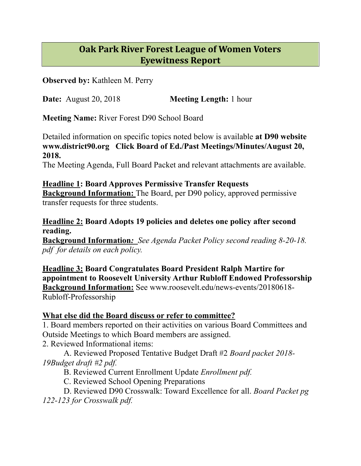## **Oak Park River Forest League of Women Voters Eyewitness Report**

**Observed by:** Kathleen M. Perry

**Date:** August 20, 2018 **Meeting Length:** 1 hour

**Meeting Name:** River Forest D90 School Board

Detailed information on specific topics noted below is available **at D90 website www.district90.org Click Board of Ed./Past Meetings/Minutes/August 20, 2018.** 

The Meeting Agenda, Full Board Packet and relevant attachments are available.

## **Headline 1: Board Approves Permissive Transfer Requests Background Information:** The Board, per D90 policy, approved permissive

transfer requests for three students.

## **Headline 2: Board Adopts 19 policies and deletes one policy after second reading.**

**Background Information***: See Agenda Packet Policy second reading 8-20-18. pdf for details on each policy.* 

**Headline 3: Board Congratulates Board President Ralph Martire for appointment to Roosevelt University Arthur Rubloff Endowed Professorship Background Information:** See www.roosevelt.edu/news-events/20180618- Rubloff-Professorship

## **What else did the Board discuss or refer to committee?**

1. Board members reported on their activities on various Board Committees and Outside Meetings to which Board members are assigned.

2. Reviewed Informational items:

 A. Reviewed Proposed Tentative Budget Draft #2 *Board packet 2018- 19Budget draft #2 pdf.* 

B. Reviewed Current Enrollment Update *Enrollment pdf.* 

C. Reviewed School Opening Preparations

 D. Reviewed D90 Crosswalk: Toward Excellence for all. *Board Packet pg 122-123 for Crosswalk pdf.*